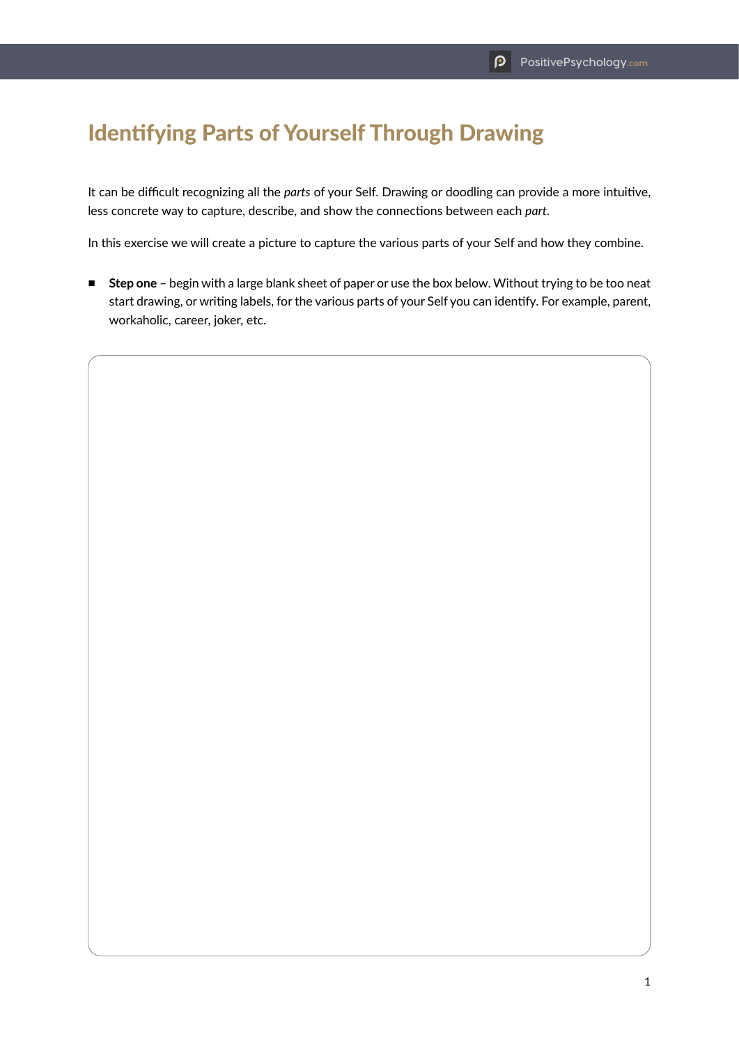## Identifying Parts of Yourself Through Drawing

It can be difficult recognizing all the *parts* of your Self. Drawing or doodling can provide a more intuitive, less concrete way to capture, describe, and show the connections between each *part*.

In this exercise we will create a picture to capture the various parts of your Self and how they combine.

■ **Step one** - begin with a large blank sheet of paper or use the box below. Without trying to be too neat start drawing, or writing labels, for the various parts of your Self you can identify. For example, parent, workaholic, career, joker, etc.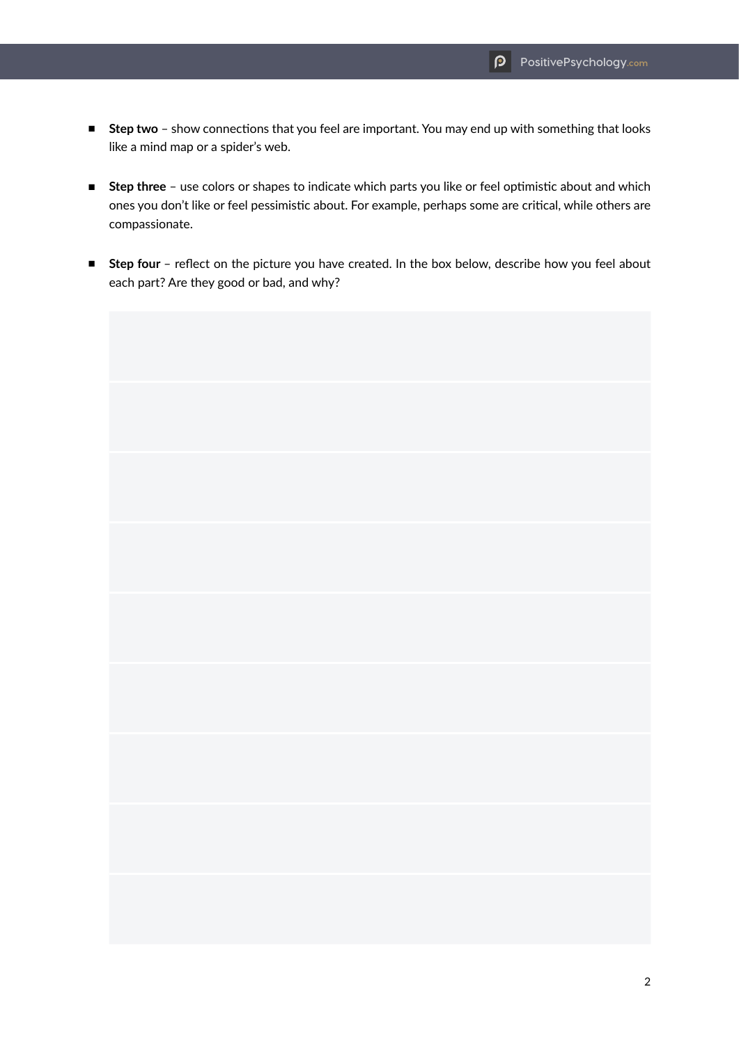- **Step two** show connections that you feel are important. You may end up with something that looks like a mind map or a spider's web.
- **Step three** use colors or shapes to indicate which parts you like or feel optimistic about and which ones you don't like or feel pessimistic about. For example, perhaps some are critical, while others are compassionate.
- **Step four** reflect on the picture you have created. In the box below, describe how you feel about each part? Are they good or bad, and why?